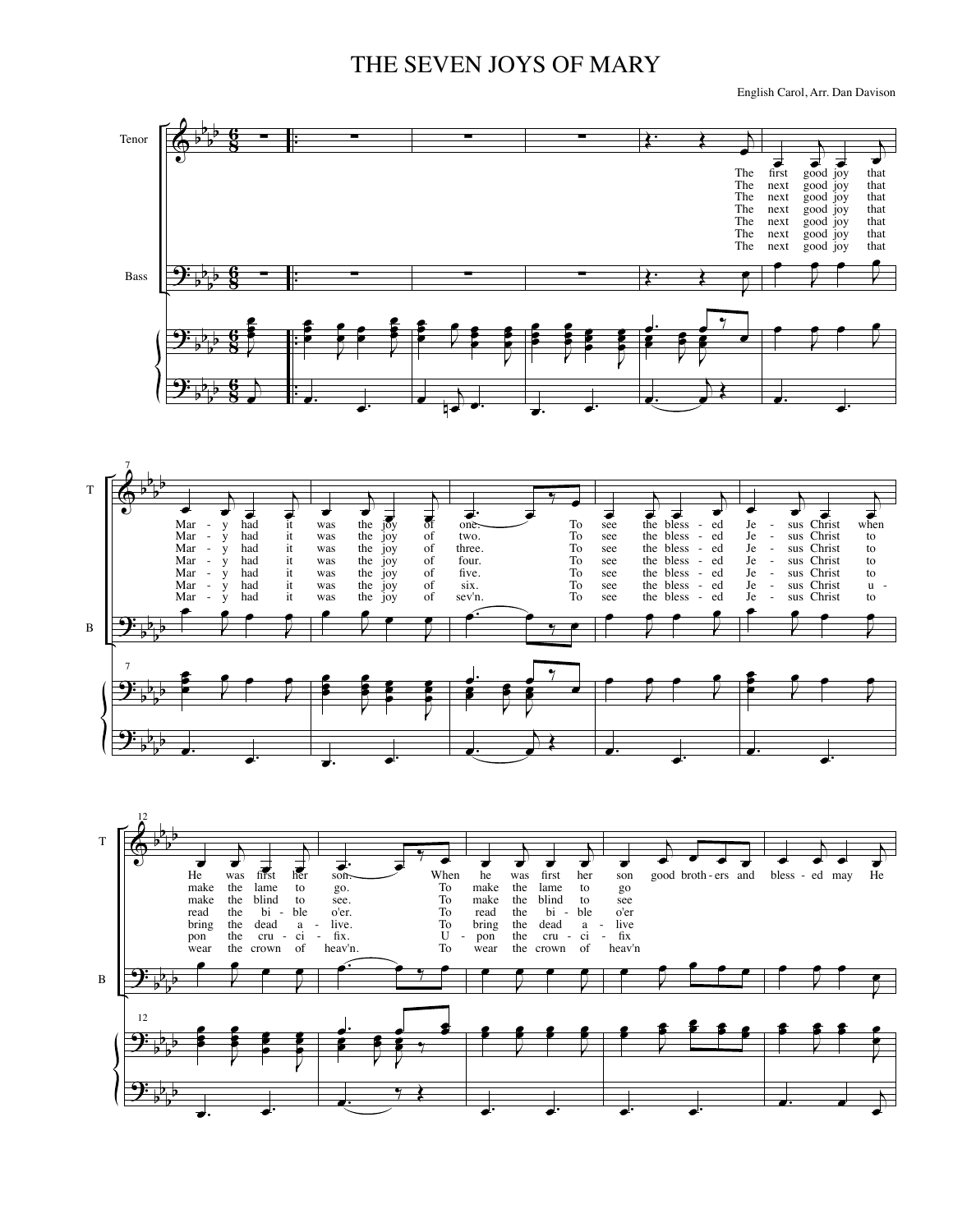## THE SEVEN JOYS OF MARY

English Carol, Arr. Dan Davison